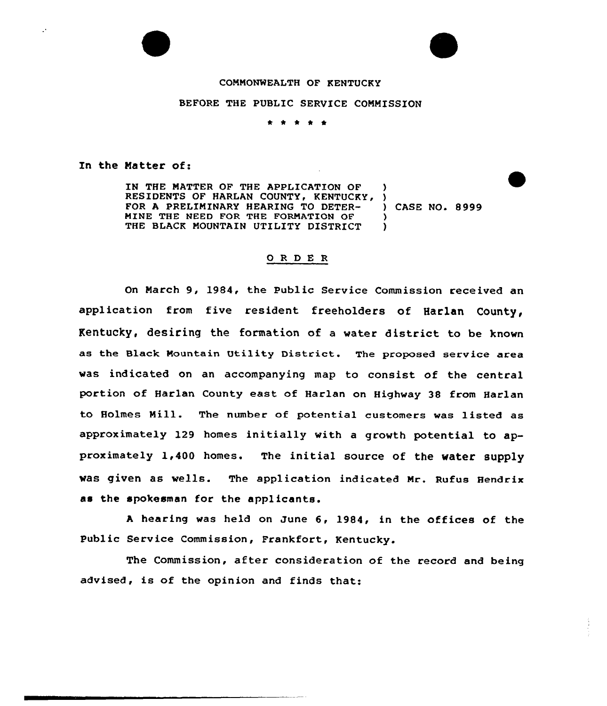## COMMONWEALTH OF KENTUCKY

## BEFORE THE PUBLIC SERVICE COMMISSION

\* \* \* \* \*

In the Natter of:

 $\mathbf{r}$ 

IN THE MATTER OF THE APPLICATION OF ) RESIDENTS OF HARLAN COUNTY, KENTUCKY, )<br>FOR A PRELIMINARY HEARING TO DETER- ) CASE NO. 8999 FOR A PRELIMINARY HEARING TO DETER-MINE THE NEED FOR THE FORMATION OF  $\overrightarrow{y}$ <br>THE BLACK MOUNTAIN UTILITY DISTRICT THE BLACK MOUNTAIN UTILITY DISTRICT

## 0 <sup>R</sup> <sup>D</sup> E <sup>R</sup>

On March 9, 1984, the Public Service Commission received an application from five resident freeholders of Harlan County, Kentucky, desiring the formation of a water district to be known as the Black Mountain Utility District. The proposed service area was indicated on an accompanying map to consist of the central portion of Harlan County east of Harlan on Highway 38 from Harlan to Holmes Mill. The number of potential customers was listed as approximately 129 homes initially with <sup>a</sup> growth potential to approximately 1,400 homes. The initial source of the water supply was given as wells. The application indicated Mr. Rufus Hendrix as the spokesman for the applicants.

<sup>A</sup> hearing was held on June 6, 1984, in the offices of the Public Service Commission, Frankfort, Kentucky.

The Commission, after consideration of the record and being advised, is of the opinion and finds that: